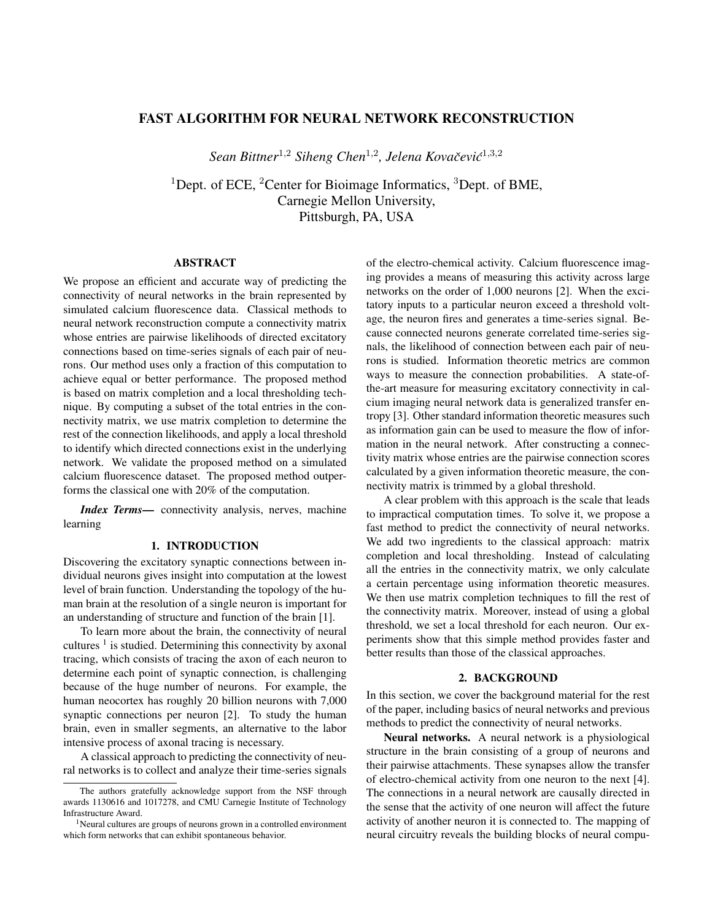# FAST ALGORITHM FOR NEURAL NETWORK RECONSTRUCTION

*Sean Bittner*<sup>1</sup>,<sup>2</sup> *Siheng Chen*<sup>1</sup>,<sup>2</sup> *, Jelena Kovacevi ˇ c´* 1,3,2

<sup>1</sup>Dept. of ECE, <sup>2</sup>Center for Bioimage Informatics,  ${}^{3}$ Dept. of BME, Carnegie Mellon University, Pittsburgh, PA, USA

## ABSTRACT

We propose an efficient and accurate way of predicting the connectivity of neural networks in the brain represented by simulated calcium fluorescence data. Classical methods to neural network reconstruction compute a connectivity matrix whose entries are pairwise likelihoods of directed excitatory connections based on time-series signals of each pair of neurons. Our method uses only a fraction of this computation to achieve equal or better performance. The proposed method is based on matrix completion and a local thresholding technique. By computing a subset of the total entries in the connectivity matrix, we use matrix completion to determine the rest of the connection likelihoods, and apply a local threshold to identify which directed connections exist in the underlying network. We validate the proposed method on a simulated calcium fluorescence dataset. The proposed method outperforms the classical one with 20% of the computation.

*Index Terms*— connectivity analysis, nerves, machine learning

#### 1. INTRODUCTION

Discovering the excitatory synaptic connections between individual neurons gives insight into computation at the lowest level of brain function. Understanding the topology of the human brain at the resolution of a single neuron is important for an understanding of structure and function of the brain [1].

To learn more about the brain, the connectivity of neural cultures  $<sup>1</sup>$  is studied. Determining this connectivity by axonal</sup> tracing, which consists of tracing the axon of each neuron to determine each point of synaptic connection, is challenging because of the huge number of neurons. For example, the human neocortex has roughly 20 billion neurons with 7,000 synaptic connections per neuron [2]. To study the human brain, even in smaller segments, an alternative to the labor intensive process of axonal tracing is necessary.

A classical approach to predicting the connectivity of neural networks is to collect and analyze their time-series signals

of the electro-chemical activity. Calcium fluorescence imaging provides a means of measuring this activity across large networks on the order of 1,000 neurons [2]. When the excitatory inputs to a particular neuron exceed a threshold voltage, the neuron fires and generates a time-series signal. Because connected neurons generate correlated time-series signals, the likelihood of connection between each pair of neurons is studied. Information theoretic metrics are common ways to measure the connection probabilities. A state-ofthe-art measure for measuring excitatory connectivity in calcium imaging neural network data is generalized transfer entropy [3]. Other standard information theoretic measures such as information gain can be used to measure the flow of information in the neural network. After constructing a connectivity matrix whose entries are the pairwise connection scores calculated by a given information theoretic measure, the connectivity matrix is trimmed by a global threshold.

A clear problem with this approach is the scale that leads to impractical computation times. To solve it, we propose a fast method to predict the connectivity of neural networks. We add two ingredients to the classical approach: matrix completion and local thresholding. Instead of calculating all the entries in the connectivity matrix, we only calculate a certain percentage using information theoretic measures. We then use matrix completion techniques to fill the rest of the connectivity matrix. Moreover, instead of using a global threshold, we set a local threshold for each neuron. Our experiments show that this simple method provides faster and better results than those of the classical approaches.

#### 2. BACKGROUND

In this section, we cover the background material for the rest of the paper, including basics of neural networks and previous methods to predict the connectivity of neural networks.

Neural networks. A neural network is a physiological structure in the brain consisting of a group of neurons and their pairwise attachments. These synapses allow the transfer of electro-chemical activity from one neuron to the next [4]. The connections in a neural network are causally directed in the sense that the activity of one neuron will affect the future activity of another neuron it is connected to. The mapping of neural circuitry reveals the building blocks of neural compu-

The authors gratefully acknowledge support from the NSF through awards 1130616 and 1017278, and CMU Carnegie Institute of Technology Infrastructure Award.

<sup>&</sup>lt;sup>1</sup>Neural cultures are groups of neurons grown in a controlled environment which form networks that can exhibit spontaneous behavior.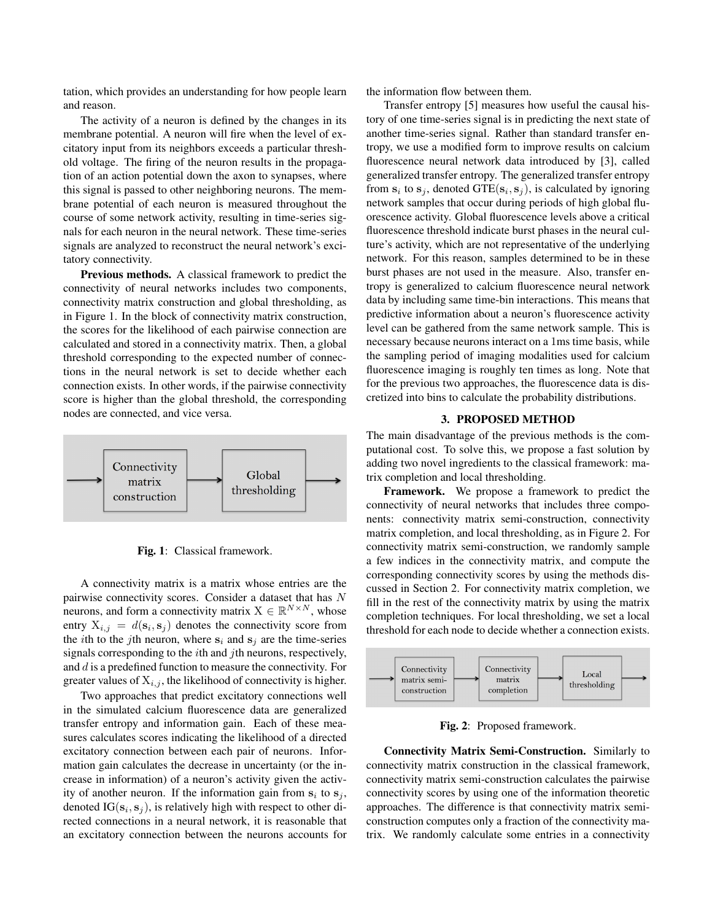tation, which provides an understanding for how people learn and reason.

The activity of a neuron is defined by the changes in its membrane potential. A neuron will fire when the level of excitatory input from its neighbors exceeds a particular threshold voltage. The firing of the neuron results in the propagation of an action potential down the axon to synapses, where this signal is passed to other neighboring neurons. The membrane potential of each neuron is measured throughout the course of some network activity, resulting in time-series signals for each neuron in the neural network. These time-series signals are analyzed to reconstruct the neural network's excitatory connectivity.

Previous methods. A classical framework to predict the connectivity of neural networks includes two components, connectivity matrix construction and global thresholding, as in Figure 1. In the block of connectivity matrix construction, the scores for the likelihood of each pairwise connection are calculated and stored in a connectivity matrix. Then, a global threshold corresponding to the expected number of connections in the neural network is set to decide whether each connection exists. In other words, if the pairwise connectivity score is higher than the global threshold, the corresponding nodes are connected, and vice versa.



Fig. 1: Classical framework.

A connectivity matrix is a matrix whose entries are the pairwise connectivity scores. Consider a dataset that has N neurons, and form a connectivity matrix  $X \in \mathbb{R}^{N \times N}$ , whose entry  $X_{i,j} = d(\mathbf{s}_i, \mathbf{s}_j)$  denotes the connectivity score from the *i*th to the *j*th neuron, where  $s_i$  and  $s_j$  are the time-series signals corresponding to the  $i$ th and  $j$ th neurons, respectively, and  $d$  is a predefined function to measure the connectivity. For greater values of  $X_{i,j}$ , the likelihood of connectivity is higher.

Two approaches that predict excitatory connections well in the simulated calcium fluorescence data are generalized transfer entropy and information gain. Each of these measures calculates scores indicating the likelihood of a directed excitatory connection between each pair of neurons. Information gain calculates the decrease in uncertainty (or the increase in information) of a neuron's activity given the activity of another neuron. If the information gain from  $s_i$  to  $s_j$ , denoted  $IG(s_i, s_j)$ , is relatively high with respect to other directed connections in a neural network, it is reasonable that an excitatory connection between the neurons accounts for the information flow between them.

Transfer entropy [5] measures how useful the causal history of one time-series signal is in predicting the next state of another time-series signal. Rather than standard transfer entropy, we use a modified form to improve results on calcium fluorescence neural network data introduced by [3], called generalized transfer entropy. The generalized transfer entropy from  $s_i$  to  $s_j$ , denoted GTE( $s_i, s_j$ ), is calculated by ignoring network samples that occur during periods of high global fluorescence activity. Global fluorescence levels above a critical fluorescence threshold indicate burst phases in the neural culture's activity, which are not representative of the underlying network. For this reason, samples determined to be in these burst phases are not used in the measure. Also, transfer entropy is generalized to calcium fluorescence neural network data by including same time-bin interactions. This means that predictive information about a neuron's fluorescence activity level can be gathered from the same network sample. This is necessary because neurons interact on a 1ms time basis, while the sampling period of imaging modalities used for calcium fluorescence imaging is roughly ten times as long. Note that for the previous two approaches, the fluorescence data is discretized into bins to calculate the probability distributions.

### 3. PROPOSED METHOD

The main disadvantage of the previous methods is the computational cost. To solve this, we propose a fast solution by adding two novel ingredients to the classical framework: matrix completion and local thresholding.

Framework. We propose a framework to predict the connectivity of neural networks that includes three components: connectivity matrix semi-construction, connectivity matrix completion, and local thresholding, as in Figure 2. For connectivity matrix semi-construction, we randomly sample a few indices in the connectivity matrix, and compute the corresponding connectivity scores by using the methods discussed in Section 2. For connectivity matrix completion, we fill in the rest of the connectivity matrix by using the matrix completion techniques. For local thresholding, we set a local threshold for each node to decide whether a connection exists.



Fig. 2: Proposed framework.

Connectivity Matrix Semi-Construction. Similarly to connectivity matrix construction in the classical framework, connectivity matrix semi-construction calculates the pairwise connectivity scores by using one of the information theoretic approaches. The difference is that connectivity matrix semiconstruction computes only a fraction of the connectivity matrix. We randomly calculate some entries in a connectivity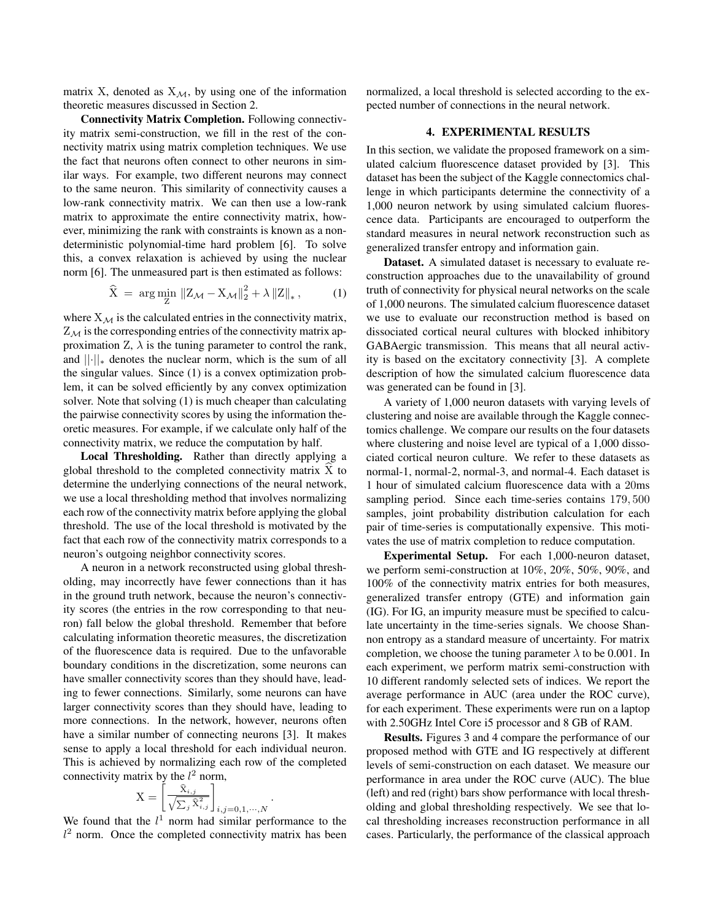matrix X, denoted as  $X_{\mathcal{M}}$ , by using one of the information theoretic measures discussed in Section 2.

Connectivity Matrix Completion. Following connectivity matrix semi-construction, we fill in the rest of the connectivity matrix using matrix completion techniques. We use the fact that neurons often connect to other neurons in similar ways. For example, two different neurons may connect to the same neuron. This similarity of connectivity causes a low-rank connectivity matrix. We can then use a low-rank matrix to approximate the entire connectivity matrix, however, minimizing the rank with constraints is known as a nondeterministic polynomial-time hard problem [6]. To solve this, a convex relaxation is achieved by using the nuclear norm [6]. The unmeasured part is then estimated as follows:

$$
\widehat{X} = \arg\min_{Z} \|Z_{\mathcal{M}} - X_{\mathcal{M}}\|_{2}^{2} + \lambda \|Z\|_{*}, \quad (1)
$$

where  $X_{\mathcal{M}}$  is the calculated entries in the connectivity matrix,  $Z_M$  is the corresponding entries of the connectivity matrix approximation  $Z$ ,  $\lambda$  is the tuning parameter to control the rank, and  $\lVert \cdot \rVert_*$  denotes the nuclear norm, which is the sum of all the singular values. Since (1) is a convex optimization problem, it can be solved efficiently by any convex optimization solver. Note that solving (1) is much cheaper than calculating the pairwise connectivity scores by using the information theoretic measures. For example, if we calculate only half of the connectivity matrix, we reduce the computation by half.

Local Thresholding. Rather than directly applying a global threshold to the completed connectivity matrix  $X$  to determine the underlying connections of the neural network, we use a local thresholding method that involves normalizing each row of the connectivity matrix before applying the global threshold. The use of the local threshold is motivated by the fact that each row of the connectivity matrix corresponds to a neuron's outgoing neighbor connectivity scores.

A neuron in a network reconstructed using global thresholding, may incorrectly have fewer connections than it has in the ground truth network, because the neuron's connectivity scores (the entries in the row corresponding to that neuron) fall below the global threshold. Remember that before calculating information theoretic measures, the discretization of the fluorescence data is required. Due to the unfavorable boundary conditions in the discretization, some neurons can have smaller connectivity scores than they should have, leading to fewer connections. Similarly, some neurons can have larger connectivity scores than they should have, leading to more connections. In the network, however, neurons often have a similar number of connecting neurons [3]. It makes sense to apply a local threshold for each individual neuron. This is achieved by normalizing each row of the completed connectivity matrix by the  $l^2$  norm,

$$
\mathbf{X} = \left[ \frac{\hat{\mathbf{X}}_{i,j}}{\sqrt{\sum_{j} \hat{\mathbf{X}}_{i,j}^2}} \right]_{i,j=0,1,\cdots,N}
$$

We found that the  $l<sup>1</sup>$  norm had similar performance to the  $l^2$  norm. Once the completed connectivity matrix has been

.

normalized, a local threshold is selected according to the expected number of connections in the neural network.

### 4. EXPERIMENTAL RESULTS

In this section, we validate the proposed framework on a simulated calcium fluorescence dataset provided by [3]. This dataset has been the subject of the Kaggle connectomics challenge in which participants determine the connectivity of a 1,000 neuron network by using simulated calcium fluorescence data. Participants are encouraged to outperform the standard measures in neural network reconstruction such as generalized transfer entropy and information gain.

Dataset. A simulated dataset is necessary to evaluate reconstruction approaches due to the unavailability of ground truth of connectivity for physical neural networks on the scale of 1,000 neurons. The simulated calcium fluorescence dataset we use to evaluate our reconstruction method is based on dissociated cortical neural cultures with blocked inhibitory GABAergic transmission. This means that all neural activity is based on the excitatory connectivity [3]. A complete description of how the simulated calcium fluorescence data was generated can be found in [3].

A variety of 1,000 neuron datasets with varying levels of clustering and noise are available through the Kaggle connectomics challenge. We compare our results on the four datasets where clustering and noise level are typical of a 1,000 dissociated cortical neuron culture. We refer to these datasets as normal-1, normal-2, normal-3, and normal-4. Each dataset is 1 hour of simulated calcium fluorescence data with a 20ms sampling period. Since each time-series contains 179, 500 samples, joint probability distribution calculation for each pair of time-series is computationally expensive. This motivates the use of matrix completion to reduce computation.

Experimental Setup. For each 1,000-neuron dataset, we perform semi-construction at 10%, 20%, 50%, 90%, and 100% of the connectivity matrix entries for both measures, generalized transfer entropy (GTE) and information gain (IG). For IG, an impurity measure must be specified to calculate uncertainty in the time-series signals. We choose Shannon entropy as a standard measure of uncertainty. For matrix completion, we choose the tuning parameter  $\lambda$  to be 0.001. In each experiment, we perform matrix semi-construction with 10 different randomly selected sets of indices. We report the average performance in AUC (area under the ROC curve), for each experiment. These experiments were run on a laptop with 2.50GHz Intel Core i5 processor and 8 GB of RAM.

Results. Figures 3 and 4 compare the performance of our proposed method with GTE and IG respectively at different levels of semi-construction on each dataset. We measure our performance in area under the ROC curve (AUC). The blue (left) and red (right) bars show performance with local thresholding and global thresholding respectively. We see that local thresholding increases reconstruction performance in all cases. Particularly, the performance of the classical approach